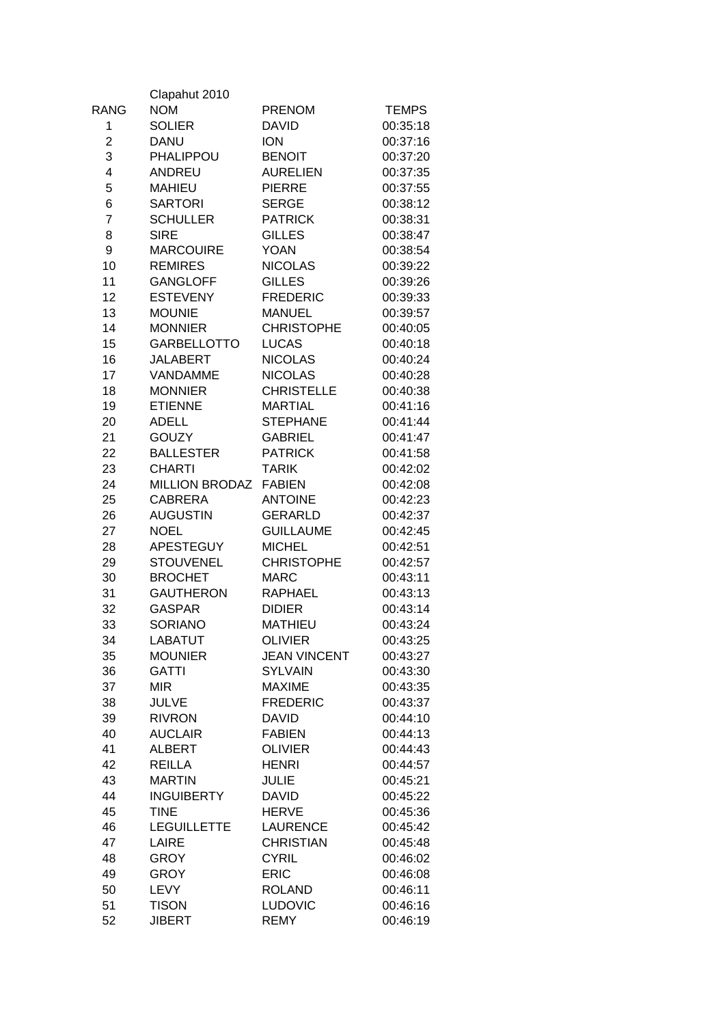|                | Clapahut 2010         |                     |              |
|----------------|-----------------------|---------------------|--------------|
| RANG           | <b>NOM</b>            | <b>PRENOM</b>       | <b>TEMPS</b> |
| 1              | <b>SOLIER</b>         | <b>DAVID</b>        | 00:35:18     |
| $\overline{c}$ | <b>DANU</b>           | <b>ION</b>          | 00:37:16     |
| 3              | PHALIPPOU             | <b>BENOIT</b>       | 00:37:20     |
| 4              | <b>ANDREU</b>         | <b>AURELIEN</b>     | 00:37:35     |
| 5              | <b>MAHIEU</b>         | <b>PIERRE</b>       | 00:37:55     |
| 6              | <b>SARTORI</b>        | <b>SERGE</b>        | 00:38:12     |
| $\overline{7}$ | <b>SCHULLER</b>       | <b>PATRICK</b>      | 00:38:31     |
| 8              | <b>SIRE</b>           | <b>GILLES</b>       | 00:38:47     |
| 9              | <b>MARCOUIRE</b>      | <b>YOAN</b>         | 00:38:54     |
| 10             | <b>REMIRES</b>        | <b>NICOLAS</b>      | 00:39:22     |
| 11             | <b>GANGLOFF</b>       | <b>GILLES</b>       | 00:39:26     |
| 12             | <b>ESTEVENY</b>       | <b>FREDERIC</b>     | 00:39:33     |
| 13             | <b>MOUNIE</b>         | <b>MANUEL</b>       | 00:39:57     |
| 14             | <b>MONNIER</b>        | <b>CHRISTOPHE</b>   | 00:40:05     |
| 15             | <b>GARBELLOTTO</b>    | <b>LUCAS</b>        | 00:40:18     |
| 16             | <b>JALABERT</b>       | <b>NICOLAS</b>      | 00:40:24     |
| 17             | VANDAMME              | <b>NICOLAS</b>      | 00:40:28     |
| 18             | <b>MONNIER</b>        | <b>CHRISTELLE</b>   | 00:40:38     |
| 19             | <b>ETIENNE</b>        | <b>MARTIAL</b>      | 00:41:16     |
|                | <b>ADELL</b>          | <b>STEPHANE</b>     | 00:41:44     |
| 20             |                       |                     |              |
| 21             | <b>GOUZY</b>          | <b>GABRIEL</b>      | 00:41:47     |
| 22             | <b>BALLESTER</b>      | <b>PATRICK</b>      | 00:41:58     |
| 23             | <b>CHARTI</b>         | <b>TARIK</b>        | 00:42:02     |
| 24             | <b>MILLION BRODAZ</b> | <b>FABIEN</b>       | 00:42:08     |
| 25             | <b>CABRERA</b>        | <b>ANTOINE</b>      | 00:42:23     |
| 26             | <b>AUGUSTIN</b>       | <b>GERARLD</b>      | 00:42:37     |
| 27             | <b>NOEL</b>           | <b>GUILLAUME</b>    | 00:42:45     |
| 28             | <b>APESTEGUY</b>      | <b>MICHEL</b>       | 00:42:51     |
| 29             | <b>STOUVENEL</b>      | <b>CHRISTOPHE</b>   | 00:42:57     |
| 30             | <b>BROCHET</b>        | <b>MARC</b>         | 00:43:11     |
| 31             | <b>GAUTHERON</b>      | <b>RAPHAEL</b>      | 00:43:13     |
| 32             | <b>GASPAR</b>         | <b>DIDIER</b>       | 00:43:14     |
| 33             | <b>SORIANO</b>        | <b>MATHIEU</b>      | 00:43:24     |
| 34             | LABATUT               | <b>OLIVIER</b>      | 00:43:25     |
| 35             | <b>MOUNIER</b>        | <b>JEAN VINCENT</b> | 00:43:27     |
| 36             | <b>GATTI</b>          | <b>SYLVAIN</b>      | 00:43:30     |
| 37             | <b>MIR</b>            | <b>MAXIME</b>       | 00:43:35     |
| 38             | <b>JULVE</b>          | <b>FREDERIC</b>     | 00:43:37     |
| 39             | <b>RIVRON</b>         | <b>DAVID</b>        | 00:44:10     |
| 40             | <b>AUCLAIR</b>        | <b>FABIEN</b>       | 00:44:13     |
| 41             | <b>ALBERT</b>         | <b>OLIVIER</b>      | 00:44:43     |
| 42             | <b>REILLA</b>         | <b>HENRI</b>        | 00:44:57     |
| 43             | <b>MARTIN</b>         | <b>JULIE</b>        | 00:45:21     |
| 44             | <b>INGUIBERTY</b>     | <b>DAVID</b>        | 00:45:22     |
| 45             | <b>TINE</b>           | <b>HERVE</b>        | 00:45:36     |
| 46             | <b>LEGUILLETTE</b>    | LAURENCE            | 00:45:42     |
| 47             | LAIRE                 | <b>CHRISTIAN</b>    | 00:45:48     |
| 48             | <b>GROY</b>           | <b>CYRIL</b>        | 00:46:02     |
| 49             | <b>GROY</b>           | <b>ERIC</b>         | 00:46:08     |
| 50             | <b>LEVY</b>           | <b>ROLAND</b>       | 00:46:11     |
| 51             | <b>TISON</b>          | <b>LUDOVIC</b>      | 00:46:16     |
| 52             | <b>JIBERT</b>         | <b>REMY</b>         | 00:46:19     |
|                |                       |                     |              |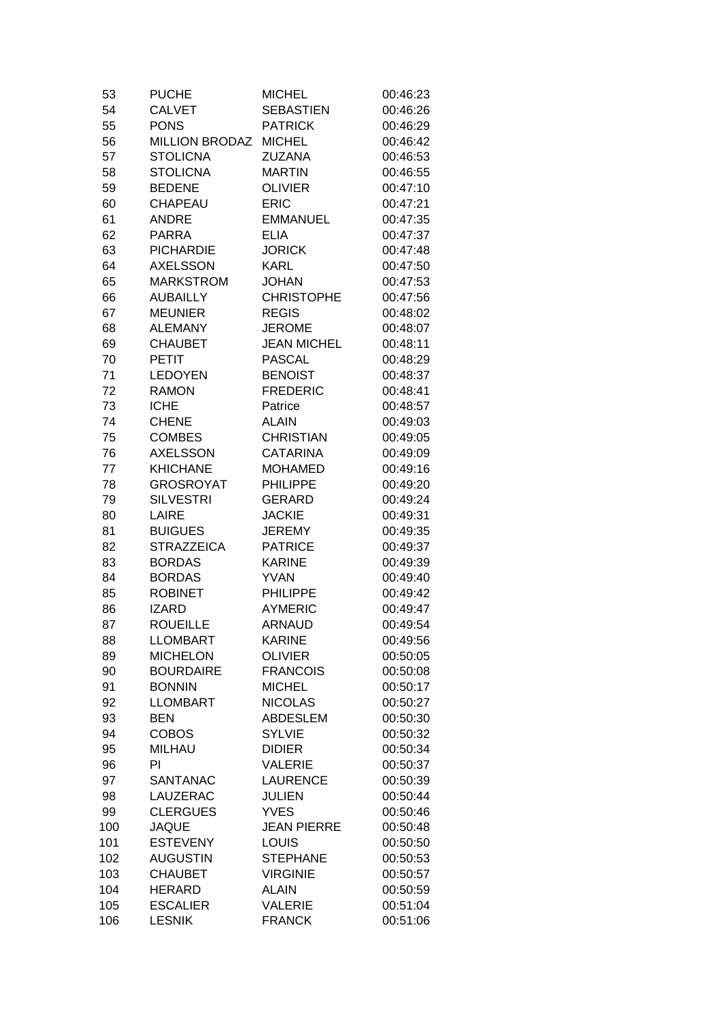| 53       | <b>PUCHE</b>          | <b>MICHEL</b>      | 00:46:23 |
|----------|-----------------------|--------------------|----------|
| 54       | <b>CALVET</b>         | <b>SEBASTIEN</b>   | 00:46:26 |
| 55       | <b>PONS</b>           | <b>PATRICK</b>     | 00:46:29 |
| 56       | <b>MILLION BRODAZ</b> | <b>MICHEL</b>      | 00:46:42 |
| 57       | <b>STOLICNA</b>       | <b>ZUZANA</b>      | 00:46:53 |
| 58       | <b>STOLICNA</b>       | <b>MARTIN</b>      | 00:46:55 |
| 59       | <b>BEDENE</b>         | <b>OLIVIER</b>     | 00:47:10 |
| 60       | CHAPEAU               | <b>ERIC</b>        | 00:47:21 |
| 61       | <b>ANDRE</b>          | <b>EMMANUEL</b>    | 00:47:35 |
| 62       | <b>PARRA</b>          | <b>ELIA</b>        | 00:47:37 |
| 63       | <b>PICHARDIE</b>      | <b>JORICK</b>      | 00:47:48 |
| 64       | <b>AXELSSON</b>       | <b>KARL</b>        | 00:47:50 |
| 65       | <b>MARKSTROM</b>      | <b>JOHAN</b>       | 00:47:53 |
| 66       | <b>AUBAILLY</b>       | <b>CHRISTOPHE</b>  | 00:47:56 |
| 67       | <b>MEUNIER</b>        | <b>REGIS</b>       | 00:48:02 |
| 68       | <b>ALEMANY</b>        | <b>JEROME</b>      | 00:48:07 |
| 69       | <b>CHAUBET</b>        | <b>JEAN MICHEL</b> | 00:48:11 |
| 70       | <b>PETIT</b>          | <b>PASCAL</b>      | 00:48:29 |
| 71       | <b>LEDOYEN</b>        | <b>BENOIST</b>     | 00:48:37 |
| 72       | <b>RAMON</b>          | <b>FREDERIC</b>    | 00:48:41 |
| 73       | <b>ICHE</b>           | Patrice            | 00:48:57 |
| 74       | <b>CHENE</b>          | <b>ALAIN</b>       | 00:49:03 |
| 75       | <b>COMBES</b>         | <b>CHRISTIAN</b>   | 00:49:05 |
| 76       | <b>AXELSSON</b>       | <b>CATARINA</b>    | 00:49:09 |
| 77       | <b>KHICHANE</b>       | <b>MOHAMED</b>     | 00:49:16 |
| 78       | <b>GROSROYAT</b>      | <b>PHILIPPE</b>    | 00:49:20 |
| 79       | <b>SILVESTRI</b>      | <b>GERARD</b>      | 00:49:24 |
| 80       | LAIRE                 | <b>JACKIE</b>      | 00:49:31 |
|          | <b>BUIGUES</b>        | <b>JEREMY</b>      | 00:49:35 |
| 81<br>82 | <b>STRAZZEICA</b>     | <b>PATRICE</b>     | 00:49:37 |
| 83       | <b>BORDAS</b>         | <b>KARINE</b>      | 00:49:39 |
| 84       | <b>BORDAS</b>         | <b>YVAN</b>        | 00:49:40 |
| 85       | <b>ROBINET</b>        | <b>PHILIPPE</b>    | 00:49:42 |
|          | <b>IZARD</b>          | <b>AYMERIC</b>     |          |
| 86       | <b>ROUEILLE</b>       |                    | 00:49:47 |
| 87       |                       | <b>ARNAUD</b>      | 00:49:54 |
| 88       | <b>LLOMBART</b>       | <b>KARINE</b>      | 00:49:56 |
| 89       | <b>MICHELON</b>       | <b>OLIVIER</b>     | 00:50:05 |
| 90       | <b>BOURDAIRE</b>      | <b>FRANCOIS</b>    | 00:50:08 |
| 91       | <b>BONNIN</b>         | <b>MICHEL</b>      | 00:50:17 |
| 92       | <b>LLOMBART</b>       | <b>NICOLAS</b>     | 00:50:27 |
| 93       | <b>BEN</b>            | <b>ABDESLEM</b>    | 00:50:30 |
| 94       | <b>COBOS</b>          | <b>SYLVIE</b>      | 00:50:32 |
| 95       | <b>MILHAU</b>         | <b>DIDIER</b>      | 00:50:34 |
| 96       | PI                    | <b>VALERIE</b>     | 00:50:37 |
| 97       | <b>SANTANAC</b>       | <b>LAURENCE</b>    | 00:50:39 |
| 98       | LAUZERAC              | <b>JULIEN</b>      | 00:50:44 |
| 99       | <b>CLERGUES</b>       | <b>YVES</b>        | 00:50:46 |
| 100      | <b>JAQUE</b>          | <b>JEAN PIERRE</b> | 00:50:48 |
| 101      | <b>ESTEVENY</b>       | <b>LOUIS</b>       | 00:50:50 |
| 102      | <b>AUGUSTIN</b>       | <b>STEPHANE</b>    | 00:50:53 |
| 103      | <b>CHAUBET</b>        | <b>VIRGINIE</b>    | 00:50:57 |
| 104      | <b>HERARD</b>         | <b>ALAIN</b>       | 00:50:59 |
| 105      | <b>ESCALIER</b>       | <b>VALERIE</b>     | 00:51:04 |
| 106      | <b>LESNIK</b>         | <b>FRANCK</b>      | 00:51:06 |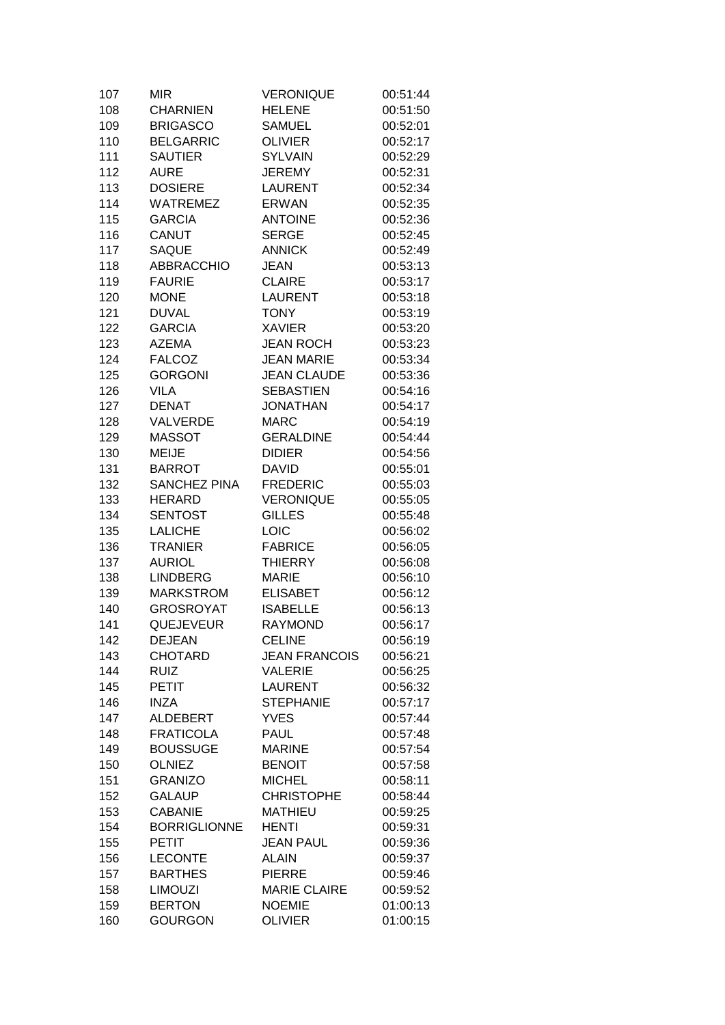| 107 | MIR                 | <b>VERONIQUE</b>     | 00:51:44 |
|-----|---------------------|----------------------|----------|
| 108 | <b>CHARNIEN</b>     | <b>HELENE</b>        | 00:51:50 |
| 109 | <b>BRIGASCO</b>     | SAMUEL               | 00:52:01 |
| 110 | <b>BELGARRIC</b>    | <b>OLIVIER</b>       | 00:52:17 |
| 111 | <b>SAUTIER</b>      | <b>SYLVAIN</b>       | 00:52:29 |
| 112 | AURE                | <b>JEREMY</b>        | 00:52:31 |
| 113 | <b>DOSIERE</b>      | <b>LAURENT</b>       | 00:52:34 |
| 114 | <b>WATREMEZ</b>     | <b>ERWAN</b>         | 00:52:35 |
| 115 | <b>GARCIA</b>       | <b>ANTOINE</b>       | 00:52:36 |
| 116 | CANUT               | <b>SERGE</b>         | 00:52:45 |
| 117 | <b>SAQUE</b>        | <b>ANNICK</b>        | 00:52:49 |
| 118 | <b>ABBRACCHIO</b>   | <b>JEAN</b>          | 00:53:13 |
| 119 | <b>FAURIE</b>       | <b>CLAIRE</b>        | 00:53:17 |
| 120 | <b>MONE</b>         | <b>LAURENT</b>       | 00:53:18 |
| 121 | <b>DUVAL</b>        | <b>TONY</b>          | 00:53:19 |
| 122 | <b>GARCIA</b>       | <b>XAVIER</b>        | 00:53:20 |
| 123 | <b>AZEMA</b>        | <b>JEAN ROCH</b>     | 00:53:23 |
| 124 | <b>FALCOZ</b>       | <b>JEAN MARIE</b>    | 00:53:34 |
|     | <b>GORGONI</b>      |                      |          |
| 125 |                     | <b>JEAN CLAUDE</b>   | 00:53:36 |
| 126 | <b>VILA</b>         | <b>SEBASTIEN</b>     | 00:54:16 |
| 127 | <b>DENAT</b>        | <b>JONATHAN</b>      | 00:54:17 |
| 128 | VALVERDE            | <b>MARC</b>          | 00:54:19 |
| 129 | <b>MASSOT</b>       | <b>GERALDINE</b>     | 00:54:44 |
| 130 | <b>MEIJE</b>        | <b>DIDIER</b>        | 00:54:56 |
| 131 | <b>BARROT</b>       | <b>DAVID</b>         | 00:55:01 |
| 132 | <b>SANCHEZ PINA</b> | <b>FREDERIC</b>      | 00:55:03 |
| 133 | <b>HERARD</b>       | <b>VERONIQUE</b>     | 00:55:05 |
| 134 | <b>SENTOST</b>      | <b>GILLES</b>        | 00:55:48 |
| 135 | <b>LALICHE</b>      | LOIC                 | 00:56:02 |
| 136 | <b>TRANIER</b>      | <b>FABRICE</b>       | 00:56:05 |
| 137 | <b>AURIOL</b>       | <b>THIERRY</b>       | 00:56:08 |
| 138 | <b>LINDBERG</b>     | <b>MARIE</b>         | 00:56:10 |
| 139 | <b>MARKSTROM</b>    | <b>ELISABET</b>      | 00:56:12 |
| 140 | <b>GROSROYAT</b>    | <b>ISABELLE</b>      | 00:56:13 |
| 141 | <b>QUEJEVEUR</b>    | <b>RAYMOND</b>       | 00:56:17 |
| 142 | <b>DEJEAN</b>       | <b>CELINE</b>        | 00:56:19 |
| 143 | <b>CHOTARD</b>      | <b>JEAN FRANCOIS</b> | 00:56:21 |
| 144 | <b>RUIZ</b>         | <b>VALERIE</b>       | 00:56:25 |
| 145 | PETIT               | <b>LAURENT</b>       | 00:56:32 |
| 146 | <b>INZA</b>         | <b>STEPHANIE</b>     | 00:57:17 |
| 147 | <b>ALDEBERT</b>     | <b>YVES</b>          | 00:57:44 |
| 148 | <b>FRATICOLA</b>    | <b>PAUL</b>          | 00:57:48 |
| 149 | <b>BOUSSUGE</b>     | <b>MARINE</b>        | 00:57:54 |
| 150 | <b>OLNIEZ</b>       | <b>BENOIT</b>        | 00:57:58 |
| 151 | <b>GRANIZO</b>      | <b>MICHEL</b>        | 00:58:11 |
| 152 | <b>GALAUP</b>       | <b>CHRISTOPHE</b>    | 00:58:44 |
| 153 | <b>CABANIE</b>      | <b>MATHIEU</b>       | 00:59:25 |
| 154 | <b>BORRIGLIONNE</b> | <b>HENTI</b>         | 00:59:31 |
| 155 | <b>PETIT</b>        | <b>JEAN PAUL</b>     | 00:59:36 |
| 156 | <b>LECONTE</b>      | <b>ALAIN</b>         | 00:59:37 |
| 157 | <b>BARTHES</b>      | <b>PIERRE</b>        | 00:59:46 |
| 158 | <b>LIMOUZI</b>      | <b>MARIE CLAIRE</b>  | 00:59:52 |
| 159 | <b>BERTON</b>       | <b>NOEMIE</b>        | 01:00:13 |
| 160 | <b>GOURGON</b>      | <b>OLIVIER</b>       | 01:00:15 |
|     |                     |                      |          |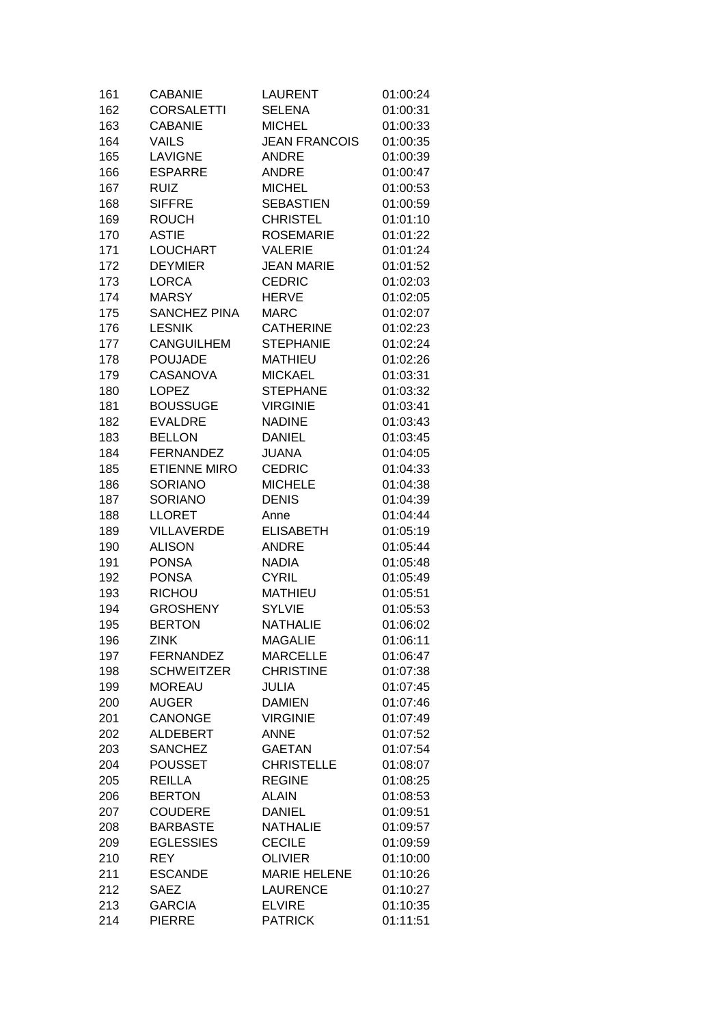| 161 | <b>CABANIE</b>      | <b>LAURENT</b>       | 01:00:24 |
|-----|---------------------|----------------------|----------|
| 162 | <b>CORSALETTI</b>   | <b>SELENA</b>        | 01:00:31 |
| 163 | <b>CABANIE</b>      | <b>MICHEL</b>        | 01:00:33 |
| 164 | <b>VAILS</b>        | <b>JEAN FRANCOIS</b> | 01:00:35 |
| 165 | <b>LAVIGNE</b>      | <b>ANDRE</b>         | 01:00:39 |
| 166 | <b>ESPARRE</b>      | <b>ANDRE</b>         | 01:00:47 |
| 167 | <b>RUIZ</b>         | <b>MICHEL</b>        | 01:00:53 |
| 168 | <b>SIFFRE</b>       | <b>SEBASTIEN</b>     | 01:00:59 |
| 169 | <b>ROUCH</b>        | <b>CHRISTEL</b>      | 01:01:10 |
| 170 | <b>ASTIE</b>        | <b>ROSEMARIE</b>     | 01:01:22 |
| 171 | <b>LOUCHART</b>     | <b>VALERIE</b>       | 01:01:24 |
| 172 | <b>DEYMIER</b>      | <b>JEAN MARIE</b>    | 01:01:52 |
| 173 | <b>LORCA</b>        | <b>CEDRIC</b>        | 01:02:03 |
| 174 | <b>MARSY</b>        | <b>HERVE</b>         | 01:02:05 |
| 175 | <b>SANCHEZ PINA</b> | <b>MARC</b>          | 01:02:07 |
| 176 | <b>LESNIK</b>       | <b>CATHERINE</b>     | 01:02:23 |
| 177 | <b>CANGUILHEM</b>   | <b>STEPHANIE</b>     | 01:02:24 |
| 178 | <b>POUJADE</b>      | <b>MATHIEU</b>       | 01:02:26 |
| 179 | <b>CASANOVA</b>     | <b>MICKAEL</b>       | 01:03:31 |
| 180 | <b>LOPEZ</b>        | <b>STEPHANE</b>      | 01:03:32 |
| 181 | <b>BOUSSUGE</b>     | <b>VIRGINIE</b>      | 01:03:41 |
|     | <b>EVALDRE</b>      |                      |          |
| 182 |                     | <b>NADINE</b>        | 01:03:43 |
| 183 | <b>BELLON</b>       | <b>DANIEL</b>        | 01:03:45 |
| 184 | <b>FERNANDEZ</b>    | <b>JUANA</b>         | 01:04:05 |
| 185 | <b>ETIENNE MIRO</b> | <b>CEDRIC</b>        | 01:04:33 |
| 186 | SORIANO             | <b>MICHELE</b>       | 01:04:38 |
| 187 | <b>SORIANO</b>      | <b>DENIS</b>         | 01:04:39 |
| 188 | <b>LLORET</b>       | Anne                 | 01:04:44 |
| 189 | <b>VILLAVERDE</b>   | <b>ELISABETH</b>     | 01:05:19 |
| 190 | <b>ALISON</b>       | <b>ANDRE</b>         | 01:05:44 |
| 191 | <b>PONSA</b>        | <b>NADIA</b>         | 01:05:48 |
| 192 | <b>PONSA</b>        | <b>CYRIL</b>         | 01:05:49 |
| 193 | <b>RICHOU</b>       | <b>MATHIEU</b>       | 01:05:51 |
| 194 | <b>GROSHENY</b>     | <b>SYLVIE</b>        | 01:05:53 |
| 195 | <b>BERTON</b>       | <b>NATHALIE</b>      | 01:06:02 |
| 196 | <b>ZINK</b>         | <b>MAGALIE</b>       | 01:06:11 |
| 197 | <b>FERNANDEZ</b>    | <b>MARCELLE</b>      | 01:06:47 |
| 198 | <b>SCHWEITZER</b>   | <b>CHRISTINE</b>     | 01:07:38 |
| 199 | <b>MOREAU</b>       | <b>JULIA</b>         | 01:07:45 |
| 200 | <b>AUGER</b>        | <b>DAMIEN</b>        | 01:07:46 |
| 201 | <b>CANONGE</b>      | <b>VIRGINIE</b>      | 01:07:49 |
| 202 | <b>ALDEBERT</b>     | <b>ANNE</b>          | 01:07:52 |
| 203 | <b>SANCHEZ</b>      | <b>GAETAN</b>        | 01:07:54 |
| 204 | <b>POUSSET</b>      | <b>CHRISTELLE</b>    | 01:08:07 |
| 205 | <b>REILLA</b>       | <b>REGINE</b>        | 01:08:25 |
| 206 | <b>BERTON</b>       | <b>ALAIN</b>         | 01:08:53 |
| 207 | <b>COUDERE</b>      | <b>DANIEL</b>        | 01:09:51 |
| 208 | <b>BARBASTE</b>     | <b>NATHALIE</b>      | 01:09:57 |
| 209 | <b>EGLESSIES</b>    | <b>CECILE</b>        | 01:09:59 |
| 210 | <b>REY</b>          | <b>OLIVIER</b>       | 01:10:00 |
| 211 | <b>ESCANDE</b>      | <b>MARIE HELENE</b>  | 01:10:26 |
| 212 | <b>SAEZ</b>         | <b>LAURENCE</b>      | 01:10:27 |
| 213 | <b>GARCIA</b>       | <b>ELVIRE</b>        | 01:10:35 |
| 214 | <b>PIERRE</b>       | <b>PATRICK</b>       | 01:11:51 |